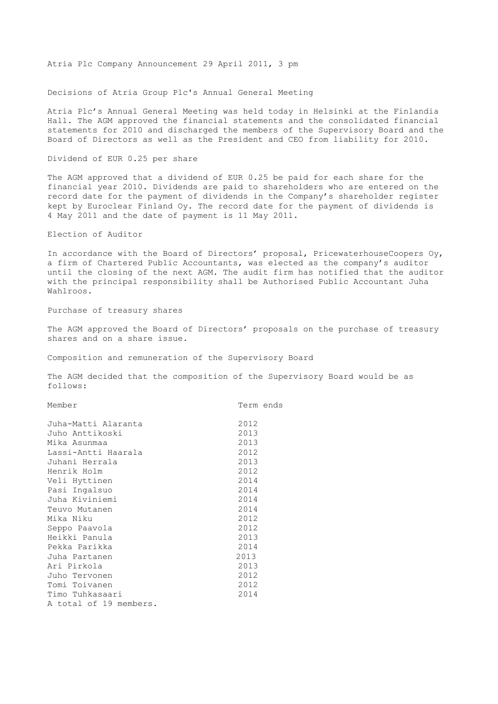Atria Plc Company Announcement 29 April 2011, 3 pm

Decisions of Atria Group Plc's Annual General Meeting

Atria Plc's Annual General Meeting was held today in Helsinki at the Finlandia Hall. The AGM approved the financial statements and the consolidated financial statements for 2010 and discharged the members of the Supervisory Board and the Board of Directors as well as the President and CEO from liability for 2010.

Dividend of EUR 0.25 per share

The AGM approved that a dividend of EUR 0.25 be paid for each share for the financial year 2010. Dividends are paid to shareholders who are entered on the record date for the payment of dividends in the Company's shareholder register kept by Euroclear Finland Oy. The record date for the payment of dividends is 4 May 2011 and the date of payment is 11 May 2011.

Election of Auditor

In accordance with the Board of Directors' proposal, PricewaterhouseCoopers Oy, a firm of Chartered Public Accountants, was elected as the company's auditor until the closing of the next AGM. The audit firm has notified that the auditor with the principal responsibility shall be Authorised Public Accountant Juha Wahlroos.

Purchase of treasury shares

The AGM approved the Board of Directors' proposals on the purchase of treasury shares and on a share issue.

Composition and remuneration of the Supervisory Board

The AGM decided that the composition of the Supervisory Board would be as follows:

Member Term ends

| Juha-Matti Alaranta    | 2012 |
|------------------------|------|
| Juho Anttikoski        | 2013 |
| Mika Asunmaa           | 2013 |
| Lassi-Antti Haarala    | 2012 |
| Juhani Herrala         | 2013 |
| Henrik Holm            | 2012 |
| Veli Hyttinen          | 2014 |
| Pasi Ingalsuo          | 2014 |
| Juha Kiviniemi         | 2014 |
| Teuvo Mutanen          | 2014 |
| Mika Niku              | 2012 |
| Seppo Paavola          | 2012 |
| Heikki Panula          | 2013 |
| Pekka Parikka          | 2014 |
| Juha Partanen          | 2013 |
| Ari Pirkola            | 2013 |
| Juho Tervonen          | 2012 |
| Tomi Toivanen          | 2012 |
| Timo Tuhkasaari        | 2014 |
| A total of 19 members. |      |